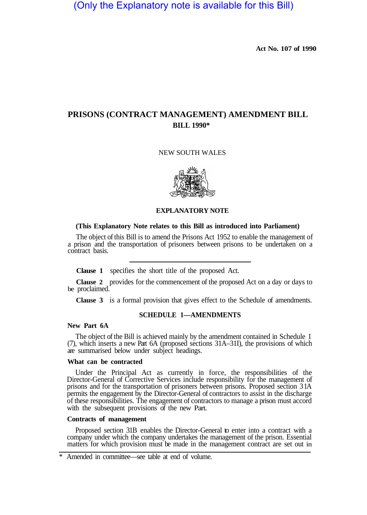(Only the Explanatory note is available for this Bill)

**Act No. 107 of 1990** 

# **PRISONS (CONTRACT MANAGEMENT) AMENDMENT BILL BILL 1990\***

## NEW SOUTH WALES



## **EXPLANATORY NOTE**

### **(This Explanatory Note relates to this Bill as introduced into Parliament)**

The object of this Bill is to amend the Prisons Act 1952 to enable the management of a prison and the transportation of prisoners between prisons to be undertaken on a contract basis.

**Clause 1** specifies the short title of the proposed Act.

**Clause 2** provides for the commencement of the proposed Act on a day or days to be proclaimed.

**Clause 3** is a formal provision that gives effect to the Schedule of amendments.

# **SCHEDULE 1—AMENDMENTS**

## **New Part 6A**

The object of the Bill is achieved mainly by the amendment contained in Schedule 1 (7), which inserts a new Part 6A (proposed sections 31A–31I), the provisions of which are summarised below under subject headings.

### **What can be contracted**

Under the Principal Act as currently in force, the responsibilities of the Director-General of Corrective Services include responsibility for the management of prisons and for the transportation of prisoners between prisons. Proposed section 3 1A permits the engagement by the Director-General of contractors to assist in the discharge of these responsibilities. The engagement of contractors to manage a prison must accord with the subsequent provisions of the new Part.

# **Con tracts of management**

Proposed section 31B enables the Director-General to enter into a contract with a company under which the company undertakes the management of the prison. Essential matters for which provision must be made in the management contract are set out in

Amended in committee—see table at end of volume.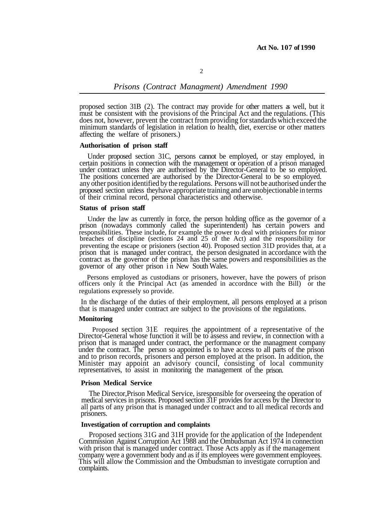# *Prisons (Contract Managment) Amendment 1990*

proposed section 31B (2). The contract may provide for other matters as well, but it must be consistent with the provisions of the Principal Act and the regulations. (This does not, however, prevent the contract from providing for standards which exceed the minimum standards of legislation in relation to health, diet, exercise or other matters affecting the welfare of prisoners.)

#### **Authorisation of prison staff**

Under proposed section 31C, persons cannot be employed, or stay employed, in certain positions in connection with the management or operation of a prison managed under contract unless they are authorised by the Director-General to be so employed.<br>The positions concerned are authorised by the Director-General to be so employed. any other position identified by the regulations. Persons will not be authorised under the proposed section unless theyhave appropriate training and are unobjectionable in terms of their criminal record, personal characteristics and otherwise.

#### **Status of prison staff**

Under the law as currently in force, the person holding office as the governor of a prison (nowadays commonly called the superintendent) has certain powers and prison that is managed under contract, the person designated in accordance with the contract as the governor of the prison has the same powers and responsibilities as the governor of any other prison in New South Wales. responsibilities. These include, for example the power to deal with prisioners for minor breaches of discipline (sections 24 and 25 of the Act) and the responsibility for preventing the escape or prisioners (section 40). Proposed section 31D provides that, at a

Persons employed as custodians or prisoners, however, have the powers of prison officers only it the Principal Act (as amended in accordnce with the Bill) or the regulations expressely so provide.

In the discharge of the duties of their employment, all persons employed at a prison that is managed under contract are subject to the provisions of the regulations.

#### **Monitoring**

Proposed section 31E requires the appointment of a representative of the Director-General whose function it will be to assess and review, in connection with a prison that is managed under contract, the performance or the managment company under the contract. The person so appointed is to have access to all parts of the prison and to prison records, prisoners and person employed at the prison. In addition, the Minister may appoint an advisory council, consisting of local community representatives, to assist in monitoring the management of the prison.

#### **Prison Medical Service**

The Director,Prison Medical Service, isresponsible for overseeing the operation of medical services in prisons. Proposed section 31F provides for access by the Director to prisoners. all parts of any prison that is managed under contract and to all medical records and

#### **Investigation of corruption and complaints**

Proposed sections 31G and 31H provide for the application of the Independent<br>Commission Against Corruption Act 1988 and the Ombudsman Act 1974 in connection<br>with prison that is managed under contract. Those Acts apply as i company were a government body and as if its employees were government employees. This will allow the Commission and the Ombudsman to investigate corruption and complaints.